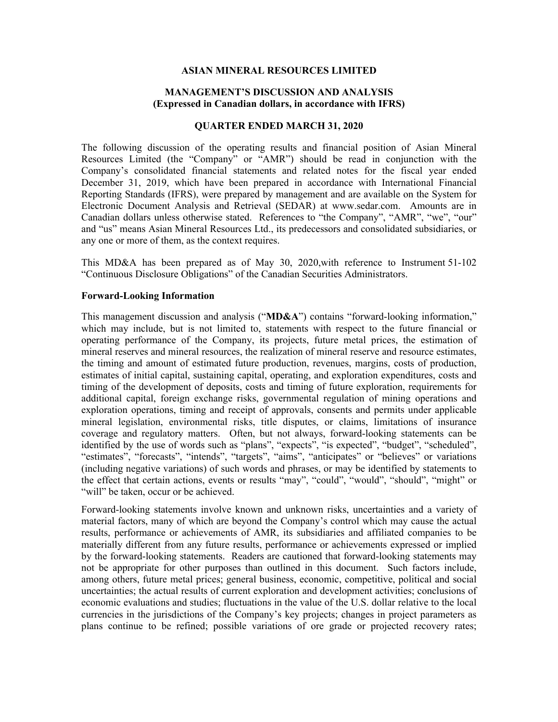### **ASIAN MINERAL RESOURCES LIMITED**

### **MANAGEMENT'S DISCUSSION AND ANALYSIS (Expressed in Canadian dollars, in accordance with IFRS)**

#### **QUARTER ENDED MARCH 31, 2020**

The following discussion of the operating results and financial position of Asian Mineral Resources Limited (the "Company" or "AMR") should be read in conjunction with the Company's consolidated financial statements and related notes for the fiscal year ended December 31, 2019, which have been prepared in accordance with International Financial Reporting Standards (IFRS), were prepared by management and are available on the System for Electronic Document Analysis and Retrieval (SEDAR) at www.sedar.com. Amounts are in Canadian dollars unless otherwise stated. References to "the Company", "AMR", "we", "our" and "us" means Asian Mineral Resources Ltd., its predecessors and consolidated subsidiaries, or any one or more of them, as the context requires.

This MD&A has been prepared as of May 30, 2020,with reference to Instrument 51-102 "Continuous Disclosure Obligations" of the Canadian Securities Administrators.

### **Forward-Looking Information**

This management discussion and analysis ("**MD&A**") contains "forward-looking information," which may include, but is not limited to, statements with respect to the future financial or operating performance of the Company, its projects, future metal prices, the estimation of mineral reserves and mineral resources, the realization of mineral reserve and resource estimates, the timing and amount of estimated future production, revenues, margins, costs of production, estimates of initial capital, sustaining capital, operating, and exploration expenditures, costs and timing of the development of deposits, costs and timing of future exploration, requirements for additional capital, foreign exchange risks, governmental regulation of mining operations and exploration operations, timing and receipt of approvals, consents and permits under applicable mineral legislation, environmental risks, title disputes, or claims, limitations of insurance coverage and regulatory matters. Often, but not always, forward-looking statements can be identified by the use of words such as "plans", "expects", "is expected", "budget", "scheduled", "estimates", "forecasts", "intends", "targets", "aims", "anticipates" or "believes" or variations (including negative variations) of such words and phrases, or may be identified by statements to the effect that certain actions, events or results "may", "could", "would", "should", "might" or "will" be taken, occur or be achieved.

Forward-looking statements involve known and unknown risks, uncertainties and a variety of material factors, many of which are beyond the Company's control which may cause the actual results, performance or achievements of AMR, its subsidiaries and affiliated companies to be materially different from any future results, performance or achievements expressed or implied by the forward-looking statements. Readers are cautioned that forward-looking statements may not be appropriate for other purposes than outlined in this document. Such factors include, among others, future metal prices; general business, economic, competitive, political and social uncertainties; the actual results of current exploration and development activities; conclusions of economic evaluations and studies; fluctuations in the value of the U.S. dollar relative to the local currencies in the jurisdictions of the Company's key projects; changes in project parameters as plans continue to be refined; possible variations of ore grade or projected recovery rates;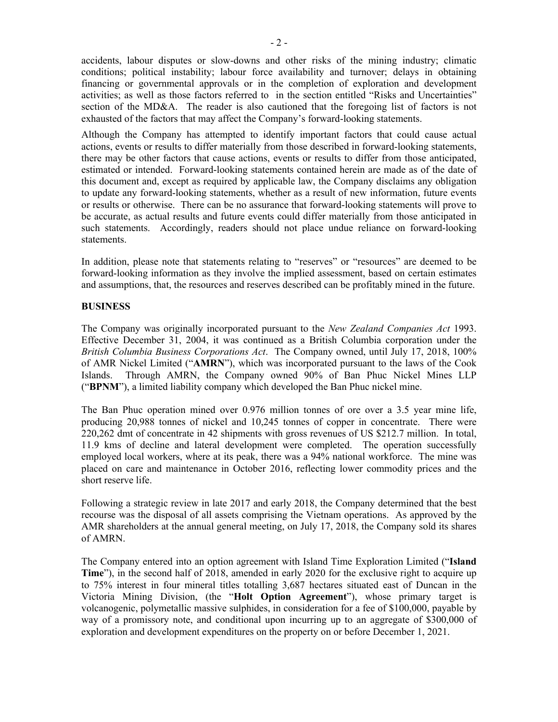accidents, labour disputes or slow-downs and other risks of the mining industry; climatic conditions; political instability; labour force availability and turnover; delays in obtaining financing or governmental approvals or in the completion of exploration and development activities; as well as those factors referred to in the section entitled "Risks and Uncertainties" section of the MD&A. The reader is also cautioned that the foregoing list of factors is not exhausted of the factors that may affect the Company's forward-looking statements.

Although the Company has attempted to identify important factors that could cause actual actions, events or results to differ materially from those described in forward-looking statements, there may be other factors that cause actions, events or results to differ from those anticipated, estimated or intended. Forward-looking statements contained herein are made as of the date of this document and, except as required by applicable law, the Company disclaims any obligation to update any forward-looking statements, whether as a result of new information, future events or results or otherwise. There can be no assurance that forward-looking statements will prove to be accurate, as actual results and future events could differ materially from those anticipated in such statements. Accordingly, readers should not place undue reliance on forward-looking statements.

In addition, please note that statements relating to "reserves" or "resources" are deemed to be forward-looking information as they involve the implied assessment, based on certain estimates and assumptions, that, the resources and reserves described can be profitably mined in the future.

# **BUSINESS**

The Company was originally incorporated pursuant to the *New Zealand Companies Act* 1993. Effective December 31, 2004, it was continued as a British Columbia corporation under the *British Columbia Business Corporations Act*. The Company owned, until July 17, 2018, 100% of AMR Nickel Limited ("**AMRN**"), which was incorporated pursuant to the laws of the Cook Islands. Through AMRN, the Company owned 90% of Ban Phuc Nickel Mines LLP ("**BPNM**"), a limited liability company which developed the Ban Phuc nickel mine.

The Ban Phuc operation mined over 0.976 million tonnes of ore over a 3.5 year mine life, producing 20,988 tonnes of nickel and 10,245 tonnes of copper in concentrate. There were 220,262 dmt of concentrate in 42 shipments with gross revenues of US \$212.7 million. In total, 11.9 kms of decline and lateral development were completed. The operation successfully employed local workers, where at its peak, there was a 94% national workforce. The mine was placed on care and maintenance in October 2016, reflecting lower commodity prices and the short reserve life.

Following a strategic review in late 2017 and early 2018, the Company determined that the best recourse was the disposal of all assets comprising the Vietnam operations. As approved by the AMR shareholders at the annual general meeting, on July 17, 2018, the Company sold its shares of AMRN.

The Company entered into an option agreement with Island Time Exploration Limited ("**Island Time**"), in the second half of 2018, amended in early 2020 for the exclusive right to acquire up to 75% interest in four mineral titles totalling 3,687 hectares situated east of Duncan in the Victoria Mining Division, (the "**Holt Option Agreement**"), whose primary target is volcanogenic, polymetallic massive sulphides, in consideration for a fee of \$100,000, payable by way of a promissory note, and conditional upon incurring up to an aggregate of \$300,000 of exploration and development expenditures on the property on or before December 1, 2021.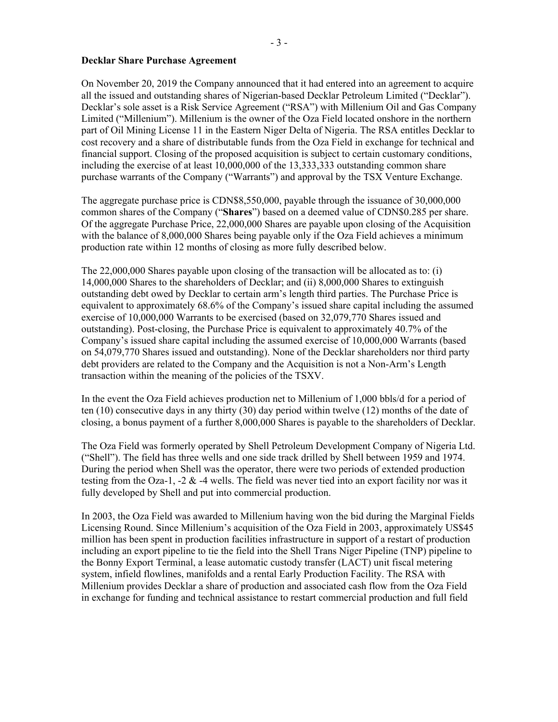# **Decklar Share Purchase Agreement**

On November 20, 2019 the Company announced that it had entered into an agreement to acquire all the issued and outstanding shares of Nigerian-based Decklar Petroleum Limited ("Decklar"). Decklar's sole asset is a Risk Service Agreement ("RSA") with Millenium Oil and Gas Company Limited ("Millenium"). Millenium is the owner of the Oza Field located onshore in the northern part of Oil Mining License 11 in the Eastern Niger Delta of Nigeria. The RSA entitles Decklar to cost recovery and a share of distributable funds from the Oza Field in exchange for technical and financial support. Closing of the proposed acquisition is subject to certain customary conditions, including the exercise of at least 10,000,000 of the 13,333,333 outstanding common share purchase warrants of the Company ("Warrants") and approval by the TSX Venture Exchange.

The aggregate purchase price is CDN\$8,550,000, payable through the issuance of 30,000,000 common shares of the Company ("**Shares**") based on a deemed value of CDN\$0.285 per share. Of the aggregate Purchase Price, 22,000,000 Shares are payable upon closing of the Acquisition with the balance of 8,000,000 Shares being payable only if the Oza Field achieves a minimum production rate within 12 months of closing as more fully described below.

The 22,000,000 Shares payable upon closing of the transaction will be allocated as to: (i) 14,000,000 Shares to the shareholders of Decklar; and (ii) 8,000,000 Shares to extinguish outstanding debt owed by Decklar to certain arm's length third parties. The Purchase Price is equivalent to approximately 68.6% of the Company's issued share capital including the assumed exercise of 10,000,000 Warrants to be exercised (based on 32,079,770 Shares issued and outstanding). Post-closing, the Purchase Price is equivalent to approximately 40.7% of the Company's issued share capital including the assumed exercise of 10,000,000 Warrants (based on 54,079,770 Shares issued and outstanding). None of the Decklar shareholders nor third party debt providers are related to the Company and the Acquisition is not a Non-Arm's Length transaction within the meaning of the policies of the TSXV.

In the event the Oza Field achieves production net to Millenium of 1,000 bbls/d for a period of ten (10) consecutive days in any thirty (30) day period within twelve (12) months of the date of closing, a bonus payment of a further 8,000,000 Shares is payable to the shareholders of Decklar.

The Oza Field was formerly operated by Shell Petroleum Development Company of Nigeria Ltd. ("Shell"). The field has three wells and one side track drilled by Shell between 1959 and 1974. During the period when Shell was the operator, there were two periods of extended production testing from the Oza-1, -2  $\&$  -4 wells. The field was never tied into an export facility nor was it fully developed by Shell and put into commercial production.

In 2003, the Oza Field was awarded to Millenium having won the bid during the Marginal Fields Licensing Round. Since Millenium's acquisition of the Oza Field in 2003, approximately US\$45 million has been spent in production facilities infrastructure in support of a restart of production including an export pipeline to tie the field into the Shell Trans Niger Pipeline (TNP) pipeline to the Bonny Export Terminal, a lease automatic custody transfer (LACT) unit fiscal metering system, infield flowlines, manifolds and a rental Early Production Facility. The RSA with Millenium provides Decklar a share of production and associated cash flow from the Oza Field in exchange for funding and technical assistance to restart commercial production and full field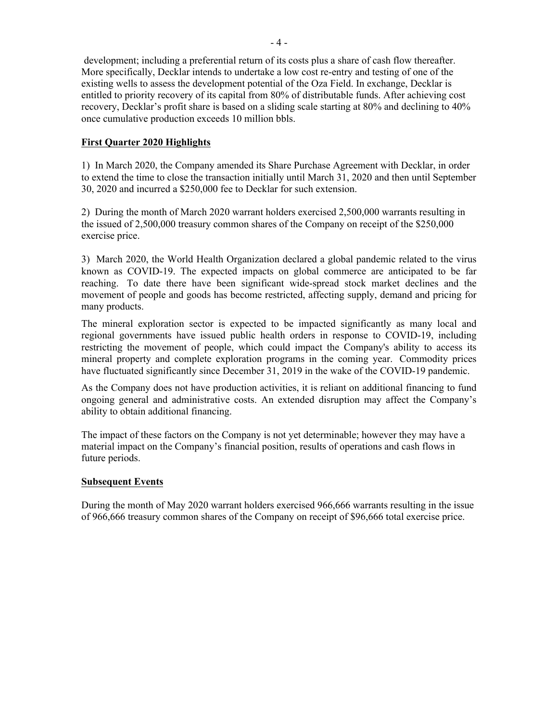development; including a preferential return of its costs plus a share of cash flow thereafter. More specifically, Decklar intends to undertake a low cost re-entry and testing of one of the existing wells to assess the development potential of the Oza Field. In exchange, Decklar is entitled to priority recovery of its capital from 80% of distributable funds. After achieving cost recovery, Decklar's profit share is based on a sliding scale starting at 80% and declining to 40% once cumulative production exceeds 10 million bbls.

# **First Quarter 2020 Highlights**

1) In March 2020, the Company amended its Share Purchase Agreement with Decklar, in order to extend the time to close the transaction initially until March 31, 2020 and then until September 30, 2020 and incurred a \$250,000 fee to Decklar for such extension.

2) During the month of March 2020 warrant holders exercised 2,500,000 warrants resulting in the issued of 2,500,000 treasury common shares of the Company on receipt of the \$250,000 exercise price.

3) March 2020, the World Health Organization declared a global pandemic related to the virus known as COVID-19. The expected impacts on global commerce are anticipated to be far reaching. To date there have been significant wide-spread stock market declines and the movement of people and goods has become restricted, affecting supply, demand and pricing for many products.

The mineral exploration sector is expected to be impacted significantly as many local and regional governments have issued public health orders in response to COVID-19, including restricting the movement of people, which could impact the Company's ability to access its mineral property and complete exploration programs in the coming year. Commodity prices have fluctuated significantly since December 31, 2019 in the wake of the COVID-19 pandemic.

As the Company does not have production activities, it is reliant on additional financing to fund ongoing general and administrative costs. An extended disruption may affect the Company's ability to obtain additional financing.

The impact of these factors on the Company is not yet determinable; however they may have a material impact on the Company's financial position, results of operations and cash flows in future periods.

# **Subsequent Events**

During the month of May 2020 warrant holders exercised 966,666 warrants resulting in the issue of 966,666 treasury common shares of the Company on receipt of \$96,666 total exercise price.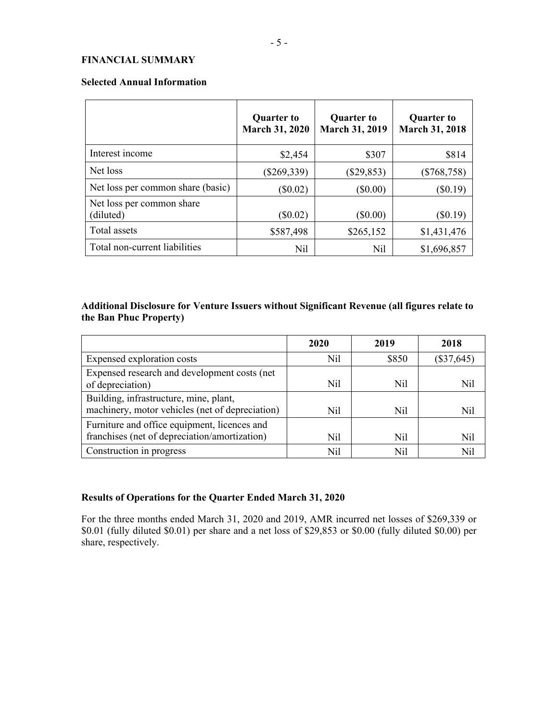# **FINANCIAL SUMMARY**

#### **Selected Annual Information**

|                                        | <b>Quarter to</b><br><b>March 31, 2020</b> | <b>Quarter to</b><br><b>March 31, 2019</b> | <b>Quarter to</b><br><b>March 31, 2018</b> |
|----------------------------------------|--------------------------------------------|--------------------------------------------|--------------------------------------------|
| Interest income                        | \$2,454                                    | \$307                                      | \$814                                      |
| Net loss                               | $(\$269,339)$                              | $(\$29,853)$                               | $(\$768,758)$                              |
| Net loss per common share (basic)      | $(\$0.02)$                                 | $(\$0.00)$                                 | $(\$0.19)$                                 |
| Net loss per common share<br>(diluted) | $(\$0.02)$                                 | $(\$0.00)$                                 | (\$0.19)                                   |
| Total assets                           | \$587,498                                  | \$265,152                                  | \$1,431,476                                |
| Total non-current liabilities          | Nil                                        | Nil                                        | \$1,696,857                                |

# **Additional Disclosure for Venture Issuers without Significant Revenue (all figures relate to the Ban Phuc Property)**

|                                                                                               | 2020 | 2019  | 2018         |
|-----------------------------------------------------------------------------------------------|------|-------|--------------|
| Expensed exploration costs                                                                    | Nil  | \$850 | $(\$37,645)$ |
| Expensed research and development costs (net<br>of depreciation)                              | Nil  | Nil   | Nil          |
| Building, infrastructure, mine, plant,<br>machinery, motor vehicles (net of depreciation)     | Nil  | Nil   | Nil          |
| Furniture and office equipment, licences and<br>franchises (net of depreciation/amortization) | Nil  | Nil   | Nil          |
| Construction in progress                                                                      | Nil  | Nil   |              |

# **Results of Operations for the Quarter Ended March 31, 2020**

For the three months ended March 31, 2020 and 2019, AMR incurred net losses of \$269,339 or \$0.01 (fully diluted \$0.01) per share and a net loss of \$29,853 or \$0.00 (fully diluted \$0.00) per share, respectively.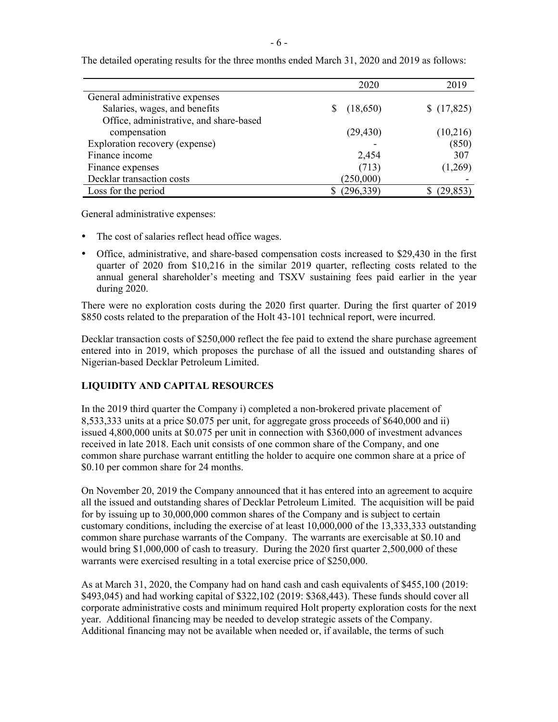|                                         | 2020       | 2019      |
|-----------------------------------------|------------|-----------|
| General administrative expenses         |            |           |
| Salaries, wages, and benefits           | (18,650)   | (17, 825) |
| Office, administrative, and share-based |            |           |
| compensation                            | (29, 430)  | (10,216)  |
| Exploration recovery (expense)          |            | (850)     |
| Finance income                          | 2,454      | 307       |
| Finance expenses                        | (713)      | (1,269)   |
| Decklar transaction costs               | (250,000)  |           |
| Loss for the period                     | (296, 339) | (29, 853) |

The detailed operating results for the three months ended March 31, 2020 and 2019 as follows:

General administrative expenses:

- The cost of salaries reflect head office wages.
- Office, administrative, and share-based compensation costs increased to \$29,430 in the first quarter of 2020 from \$10,216 in the similar 2019 quarter, reflecting costs related to the annual general shareholder's meeting and TSXV sustaining fees paid earlier in the year during 2020.

There were no exploration costs during the 2020 first quarter. During the first quarter of 2019 \$850 costs related to the preparation of the Holt 43-101 technical report, were incurred.

Decklar transaction costs of \$250,000 reflect the fee paid to extend the share purchase agreement entered into in 2019, which proposes the purchase of all the issued and outstanding shares of Nigerian-based Decklar Petroleum Limited.

# **LIQUIDITY AND CAPITAL RESOURCES**

In the 2019 third quarter the Company i) completed a non-brokered private placement of 8,533,333 units at a price \$0.075 per unit, for aggregate gross proceeds of \$640,000 and ii) issued 4,800,000 units at \$0.075 per unit in connection with \$360,000 of investment advances received in late 2018. Each unit consists of one common share of the Company, and one common share purchase warrant entitling the holder to acquire one common share at a price of \$0.10 per common share for 24 months.

On November 20, 2019 the Company announced that it has entered into an agreement to acquire all the issued and outstanding shares of Decklar Petroleum Limited. The acquisition will be paid for by issuing up to 30,000,000 common shares of the Company and is subject to certain customary conditions, including the exercise of at least 10,000,000 of the 13,333,333 outstanding common share purchase warrants of the Company. The warrants are exercisable at \$0.10 and would bring \$1,000,000 of cash to treasury. During the 2020 first quarter 2,500,000 of these warrants were exercised resulting in a total exercise price of \$250,000.

As at March 31, 2020, the Company had on hand cash and cash equivalents of \$455,100 (2019: \$493,045) and had working capital of \$322,102 (2019: \$368,443). These funds should cover all corporate administrative costs and minimum required Holt property exploration costs for the next year. Additional financing may be needed to develop strategic assets of the Company. Additional financing may not be available when needed or, if available, the terms of such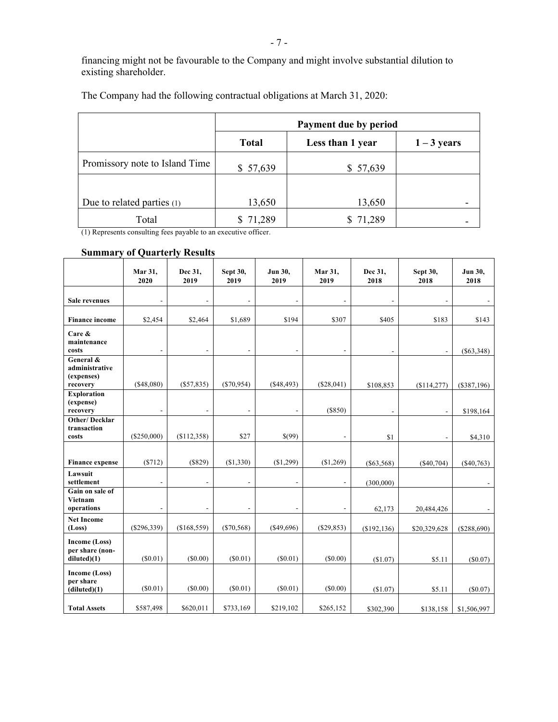financing might not be favourable to the Company and might involve substantial dilution to existing shareholder.

|                                | Payment due by period |                  |               |  |  |
|--------------------------------|-----------------------|------------------|---------------|--|--|
|                                | <b>Total</b>          | Less than 1 year | $1 - 3$ years |  |  |
| Promissory note to Island Time | \$57,639              | \$57,639         |               |  |  |
|                                |                       |                  |               |  |  |
| Due to related parties (1)     | 13,650                | 13,650           |               |  |  |
| Total                          | 71,289                | 71,289           |               |  |  |

The Company had the following contractual obligations at March 31, 2020:

(1) Represents consulting fees payable to an executive officer.

# **Summary of Quarterly Results**

|                                                       | Mar 31,<br>2020 | Dec 31,<br>2019          | Sept 30,<br>2019         | Jun 30,<br>2019          | Mar 31,<br>2019          | Dec 31,<br>2018 | Sept 30,<br>2018         | Jun 30,<br>2018 |
|-------------------------------------------------------|-----------------|--------------------------|--------------------------|--------------------------|--------------------------|-----------------|--------------------------|-----------------|
| <b>Sale revenues</b>                                  |                 |                          |                          | $\overline{a}$           | $\overline{a}$           |                 | L,                       |                 |
| <b>Finance income</b>                                 | \$2,454         | \$2,464                  | \$1,689                  | \$194                    | \$307                    | \$405           | \$183                    | \$143           |
| Care &<br>maintenance<br>costs                        | $\overline{a}$  | $\overline{\phantom{a}}$ | $\overline{\phantom{a}}$ | $\overline{\phantom{a}}$ | $\overline{\phantom{a}}$ | $\blacksquare$  | $\overline{\phantom{a}}$ | $(\$63,348)$    |
| General &<br>administrative<br>(expenses)<br>recovery | (\$48,080)      | (\$57,835)               | $(\$70,954)$             | ( \$48,493)              | (\$28,041)               | \$108,853       | (\$114,277)              | $(\$387,196)$   |
| <b>Exploration</b><br>(expense)<br>recovery           |                 |                          |                          | $\overline{a}$           | (S850)                   |                 |                          | \$198,164       |
| <b>Other/Decklar</b><br>transaction<br>costs          | $(\$250,000)$   | (\$112,358)              | \$27                     | \$(99)                   | $\blacksquare$           | \$1             | $\overline{\phantom{a}}$ | \$4,310         |
| <b>Finance expense</b>                                | (S712)          | $($ \$829)               | (S1,330)                 | (\$1,299)                | (S1,269)                 | ( \$63,568)     | (S40, 704)               | $(\$40,763)$    |
| Lawsuit<br>settlement                                 |                 | ÷                        | $\overline{a}$           | $\overline{\phantom{m}}$ | $\overline{a}$           | (300,000)       |                          |                 |
| Gain on sale of<br><b>Vietnam</b><br>operations       | ٠               | $\overline{\phantom{a}}$ | $\blacksquare$           | $\overline{\phantom{a}}$ | $\overline{a}$           | 62,173          | 20,484,426               |                 |
| <b>Net Income</b><br>(Loss)                           | (\$296,339)     | (\$168,559)              | $(\$70,568)$             | $($ \$49,696)            | $(\$29,853)$             | (\$192, 136)    | \$20,329,628             | (\$288,690)     |
| Income (Loss)<br>per share (non-<br>diluted(1)        | $(\$0.01)$      | (\$0.00)                 | (S0.01)                  | $(\$0.01)$               | $(\$0.00)$               | (\$1.07)        | \$5.11                   | (\$0.07)        |
| Income (Loss)<br>per share<br>(diluted)(1)            | (S0.01)         | $(\$0.00)$               | $(\$0.01)$               | $(\$0.01)$               | $(\$0.00)$               | (\$1.07)        | \$5.11                   | (\$0.07)        |
| <b>Total Assets</b>                                   | \$587,498       | \$620,011                | \$733,169                | \$219,102                | \$265,152                | \$302,390       | \$138,158                | \$1,506,997     |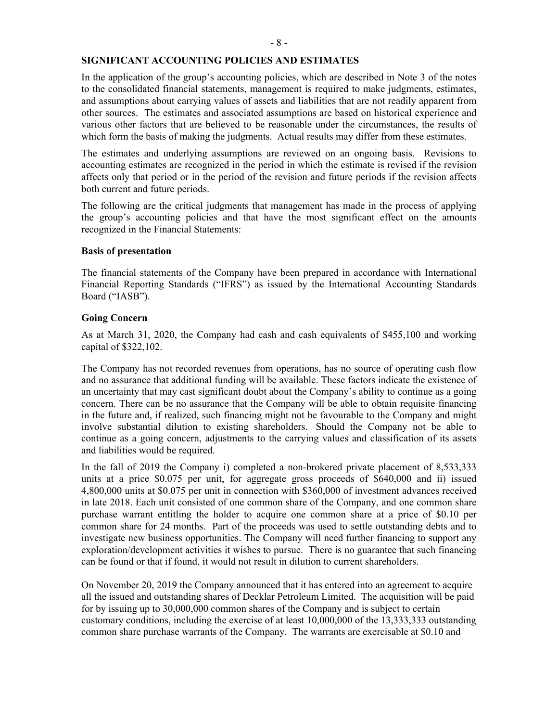# **SIGNIFICANT ACCOUNTING POLICIES AND ESTIMATES**

In the application of the group's accounting policies, which are described in Note 3 of the notes to the consolidated financial statements, management is required to make judgments, estimates, and assumptions about carrying values of assets and liabilities that are not readily apparent from other sources. The estimates and associated assumptions are based on historical experience and various other factors that are believed to be reasonable under the circumstances, the results of which form the basis of making the judgments. Actual results may differ from these estimates.

The estimates and underlying assumptions are reviewed on an ongoing basis. Revisions to accounting estimates are recognized in the period in which the estimate is revised if the revision affects only that period or in the period of the revision and future periods if the revision affects both current and future periods.

The following are the critical judgments that management has made in the process of applying the group's accounting policies and that have the most significant effect on the amounts recognized in the Financial Statements:

### **Basis of presentation**

The financial statements of the Company have been prepared in accordance with International Financial Reporting Standards ("IFRS") as issued by the International Accounting Standards Board ("IASB").

### **Going Concern**

As at March 31, 2020, the Company had cash and cash equivalents of \$455,100 and working capital of \$322,102.

The Company has not recorded revenues from operations, has no source of operating cash flow and no assurance that additional funding will be available. These factors indicate the existence of an uncertainty that may cast significant doubt about the Company's ability to continue as a going concern. There can be no assurance that the Company will be able to obtain requisite financing in the future and, if realized, such financing might not be favourable to the Company and might involve substantial dilution to existing shareholders. Should the Company not be able to continue as a going concern, adjustments to the carrying values and classification of its assets and liabilities would be required.

In the fall of 2019 the Company i) completed a non-brokered private placement of 8,533,333 units at a price \$0.075 per unit, for aggregate gross proceeds of \$640,000 and ii) issued 4,800,000 units at \$0.075 per unit in connection with \$360,000 of investment advances received in late 2018. Each unit consisted of one common share of the Company, and one common share purchase warrant entitling the holder to acquire one common share at a price of \$0.10 per common share for 24 months. Part of the proceeds was used to settle outstanding debts and to investigate new business opportunities. The Company will need further financing to support any exploration/development activities it wishes to pursue. There is no guarantee that such financing can be found or that if found, it would not result in dilution to current shareholders.

On November 20, 2019 the Company announced that it has entered into an agreement to acquire all the issued and outstanding shares of Decklar Petroleum Limited. The acquisition will be paid for by issuing up to 30,000,000 common shares of the Company and is subject to certain customary conditions, including the exercise of at least 10,000,000 of the 13,333,333 outstanding common share purchase warrants of the Company. The warrants are exercisable at \$0.10 and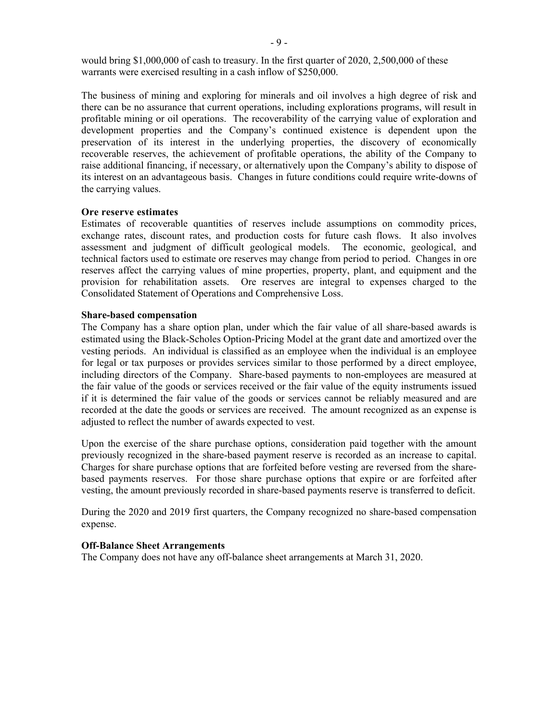would bring \$1,000,000 of cash to treasury. In the first quarter of 2020, 2,500,000 of these warrants were exercised resulting in a cash inflow of \$250,000.

The business of mining and exploring for minerals and oil involves a high degree of risk and there can be no assurance that current operations, including explorations programs, will result in profitable mining or oil operations. The recoverability of the carrying value of exploration and development properties and the Company's continued existence is dependent upon the preservation of its interest in the underlying properties, the discovery of economically recoverable reserves, the achievement of profitable operations, the ability of the Company to raise additional financing, if necessary, or alternatively upon the Company's ability to dispose of its interest on an advantageous basis. Changes in future conditions could require write-downs of the carrying values.

#### **Ore reserve estimates**

Estimates of recoverable quantities of reserves include assumptions on commodity prices, exchange rates, discount rates, and production costs for future cash flows. It also involves assessment and judgment of difficult geological models. The economic, geological, and technical factors used to estimate ore reserves may change from period to period. Changes in ore reserves affect the carrying values of mine properties, property, plant, and equipment and the provision for rehabilitation assets. Ore reserves are integral to expenses charged to the Consolidated Statement of Operations and Comprehensive Loss.

#### **Share-based compensation**

The Company has a share option plan, under which the fair value of all share-based awards is estimated using the Black-Scholes Option-Pricing Model at the grant date and amortized over the vesting periods. An individual is classified as an employee when the individual is an employee for legal or tax purposes or provides services similar to those performed by a direct employee, including directors of the Company. Share-based payments to non-employees are measured at the fair value of the goods or services received or the fair value of the equity instruments issued if it is determined the fair value of the goods or services cannot be reliably measured and are recorded at the date the goods or services are received. The amount recognized as an expense is adjusted to reflect the number of awards expected to vest.

Upon the exercise of the share purchase options, consideration paid together with the amount previously recognized in the share-based payment reserve is recorded as an increase to capital. Charges for share purchase options that are forfeited before vesting are reversed from the sharebased payments reserves. For those share purchase options that expire or are forfeited after vesting, the amount previously recorded in share-based payments reserve is transferred to deficit.

During the 2020 and 2019 first quarters, the Company recognized no share-based compensation expense.

#### **Off-Balance Sheet Arrangements**

The Company does not have any off-balance sheet arrangements at March 31, 2020.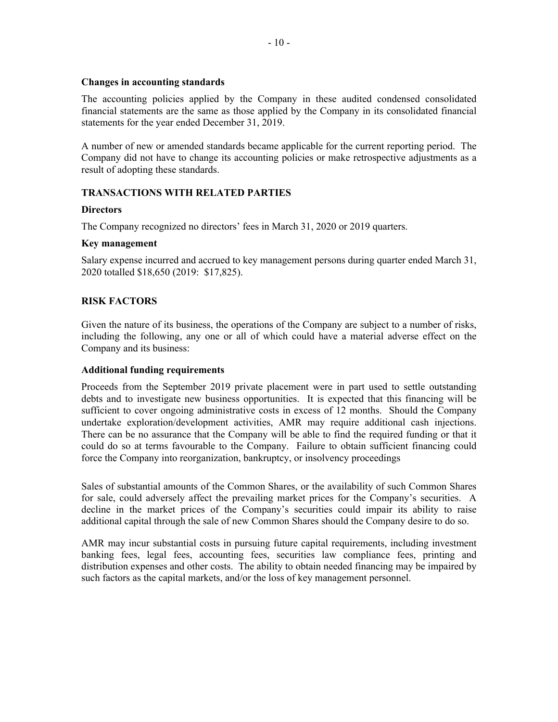### **Changes in accounting standards**

The accounting policies applied by the Company in these audited condensed consolidated financial statements are the same as those applied by the Company in its consolidated financial statements for the year ended December 31, 2019.

A number of new or amended standards became applicable for the current reporting period. The Company did not have to change its accounting policies or make retrospective adjustments as a result of adopting these standards.

# **TRANSACTIONS WITH RELATED PARTIES**

### **Directors**

The Company recognized no directors' fees in March 31, 2020 or 2019 quarters.

### **Key management**

Salary expense incurred and accrued to key management persons during quarter ended March 31, 2020 totalled \$18,650 (2019: \$17,825).

# **RISK FACTORS**

Given the nature of its business, the operations of the Company are subject to a number of risks, including the following, any one or all of which could have a material adverse effect on the Company and its business:

# **Additional funding requirements**

Proceeds from the September 2019 private placement were in part used to settle outstanding debts and to investigate new business opportunities. It is expected that this financing will be sufficient to cover ongoing administrative costs in excess of 12 months. Should the Company undertake exploration/development activities, AMR may require additional cash injections. There can be no assurance that the Company will be able to find the required funding or that it could do so at terms favourable to the Company. Failure to obtain sufficient financing could force the Company into reorganization, bankruptcy, or insolvency proceedings

Sales of substantial amounts of the Common Shares, or the availability of such Common Shares for sale, could adversely affect the prevailing market prices for the Company's securities. A decline in the market prices of the Company's securities could impair its ability to raise additional capital through the sale of new Common Shares should the Company desire to do so.

AMR may incur substantial costs in pursuing future capital requirements, including investment banking fees, legal fees, accounting fees, securities law compliance fees, printing and distribution expenses and other costs. The ability to obtain needed financing may be impaired by such factors as the capital markets, and/or the loss of key management personnel.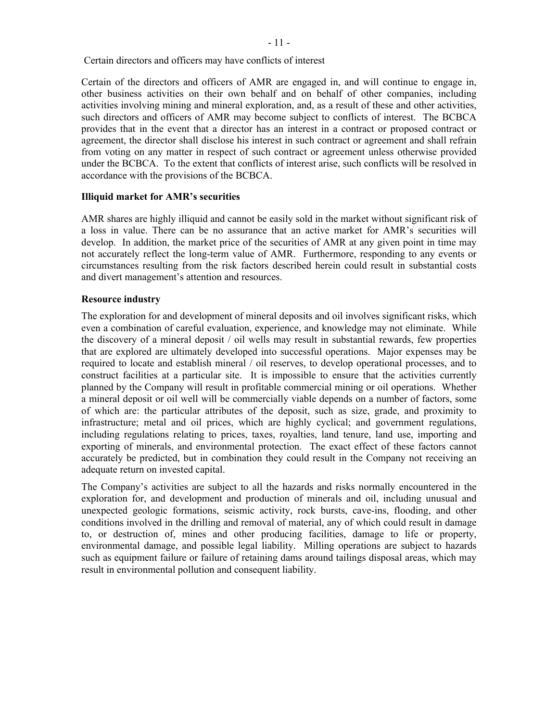Certain directors and officers may have conflicts of interest

Certain of the directors and officers of AMR are engaged in, and will continue to engage in, other business activities on their own behalf and on behalf of other companies, including activities involving mining and mineral exploration, and, as a result of these and other activities, such directors and officers of AMR may become subject to conflicts of interest. The BCBCA provides that in the event that a director has an interest in a contract or proposed contract or agreement, the director shall disclose his interest in such contract or agreement and shall refrain from voting on any matter in respect of such contract or agreement unless otherwise provided under the BCBCA. To the extent that conflicts of interest arise, such conflicts will be resolved in accordance with the provisions of the BCBCA.

### **Illiquid market for AMR's securities**

AMR shares are highly illiquid and cannot be easily sold in the market without significant risk of a loss in value. There can be no assurance that an active market for AMR's securities will develop. In addition, the market price of the securities of AMR at any given point in time may not accurately reflect the long-term value of AMR. Furthermore, responding to any events or circumstances resulting from the risk factors described herein could result in substantial costs and divert management's attention and resources.

# **Resource industry**

The exploration for and development of mineral deposits and oil involves significant risks, which even a combination of careful evaluation, experience, and knowledge may not eliminate. While the discovery of a mineral deposit / oil wells may result in substantial rewards, few properties that are explored are ultimately developed into successful operations. Major expenses may be required to locate and establish mineral / oil reserves, to develop operational processes, and to construct facilities at a particular site. It is impossible to ensure that the activities currently planned by the Company will result in profitable commercial mining or oil operations. Whether a mineral deposit or oil well will be commercially viable depends on a number of factors, some of which are: the particular attributes of the deposit, such as size, grade, and proximity to infrastructure; metal and oil prices, which are highly cyclical; and government regulations, including regulations relating to prices, taxes, royalties, land tenure, land use, importing and exporting of minerals, and environmental protection. The exact effect of these factors cannot accurately be predicted, but in combination they could result in the Company not receiving an adequate return on invested capital.

The Company's activities are subject to all the hazards and risks normally encountered in the exploration for, and development and production of minerals and oil, including unusual and unexpected geologic formations, seismic activity, rock bursts, cave-ins, flooding, and other conditions involved in the drilling and removal of material, any of which could result in damage to, or destruction of, mines and other producing facilities, damage to life or property, environmental damage, and possible legal liability. Milling operations are subject to hazards such as equipment failure or failure of retaining dams around tailings disposal areas, which may result in environmental pollution and consequent liability.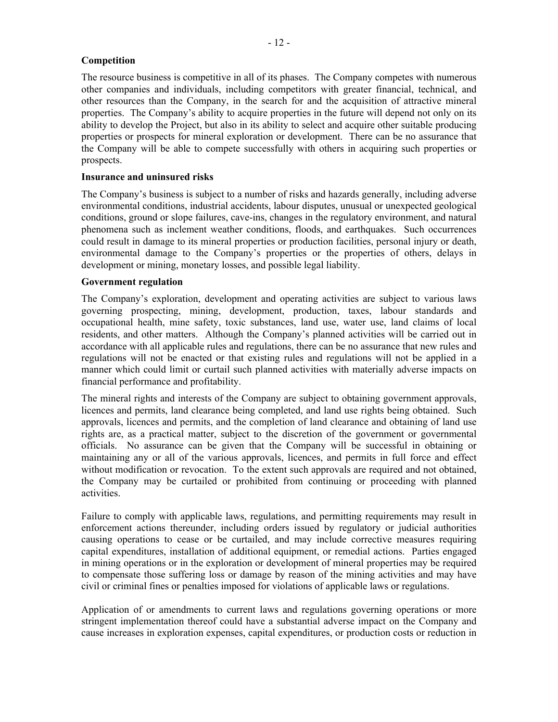# **Competition**

The resource business is competitive in all of its phases. The Company competes with numerous other companies and individuals, including competitors with greater financial, technical, and other resources than the Company, in the search for and the acquisition of attractive mineral properties. The Company's ability to acquire properties in the future will depend not only on its ability to develop the Project, but also in its ability to select and acquire other suitable producing properties or prospects for mineral exploration or development. There can be no assurance that the Company will be able to compete successfully with others in acquiring such properties or prospects.

# **Insurance and uninsured risks**

The Company's business is subject to a number of risks and hazards generally, including adverse environmental conditions, industrial accidents, labour disputes, unusual or unexpected geological conditions, ground or slope failures, cave-ins, changes in the regulatory environment, and natural phenomena such as inclement weather conditions, floods, and earthquakes. Such occurrences could result in damage to its mineral properties or production facilities, personal injury or death, environmental damage to the Company's properties or the properties of others, delays in development or mining, monetary losses, and possible legal liability.

### **Government regulation**

The Company's exploration, development and operating activities are subject to various laws governing prospecting, mining, development, production, taxes, labour standards and occupational health, mine safety, toxic substances, land use, water use, land claims of local residents, and other matters. Although the Company's planned activities will be carried out in accordance with all applicable rules and regulations, there can be no assurance that new rules and regulations will not be enacted or that existing rules and regulations will not be applied in a manner which could limit or curtail such planned activities with materially adverse impacts on financial performance and profitability.

The mineral rights and interests of the Company are subject to obtaining government approvals, licences and permits, land clearance being completed, and land use rights being obtained. Such approvals, licences and permits, and the completion of land clearance and obtaining of land use rights are, as a practical matter, subject to the discretion of the government or governmental officials. No assurance can be given that the Company will be successful in obtaining or maintaining any or all of the various approvals, licences, and permits in full force and effect without modification or revocation. To the extent such approvals are required and not obtained, the Company may be curtailed or prohibited from continuing or proceeding with planned activities.

Failure to comply with applicable laws, regulations, and permitting requirements may result in enforcement actions thereunder, including orders issued by regulatory or judicial authorities causing operations to cease or be curtailed, and may include corrective measures requiring capital expenditures, installation of additional equipment, or remedial actions. Parties engaged in mining operations or in the exploration or development of mineral properties may be required to compensate those suffering loss or damage by reason of the mining activities and may have civil or criminal fines or penalties imposed for violations of applicable laws or regulations.

Application of or amendments to current laws and regulations governing operations or more stringent implementation thereof could have a substantial adverse impact on the Company and cause increases in exploration expenses, capital expenditures, or production costs or reduction in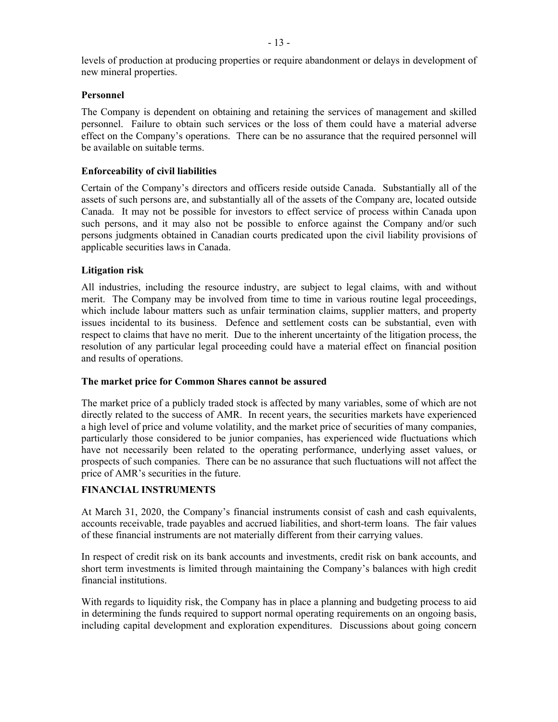levels of production at producing properties or require abandonment or delays in development of new mineral properties.

# **Personnel**

The Company is dependent on obtaining and retaining the services of management and skilled personnel. Failure to obtain such services or the loss of them could have a material adverse effect on the Company's operations. There can be no assurance that the required personnel will be available on suitable terms.

# **Enforceability of civil liabilities**

Certain of the Company's directors and officers reside outside Canada. Substantially all of the assets of such persons are, and substantially all of the assets of the Company are, located outside Canada. It may not be possible for investors to effect service of process within Canada upon such persons, and it may also not be possible to enforce against the Company and/or such persons judgments obtained in Canadian courts predicated upon the civil liability provisions of applicable securities laws in Canada.

# **Litigation risk**

All industries, including the resource industry, are subject to legal claims, with and without merit. The Company may be involved from time to time in various routine legal proceedings, which include labour matters such as unfair termination claims, supplier matters, and property issues incidental to its business. Defence and settlement costs can be substantial, even with respect to claims that have no merit. Due to the inherent uncertainty of the litigation process, the resolution of any particular legal proceeding could have a material effect on financial position and results of operations.

# **The market price for Common Shares cannot be assured**

The market price of a publicly traded stock is affected by many variables, some of which are not directly related to the success of AMR. In recent years, the securities markets have experienced a high level of price and volume volatility, and the market price of securities of many companies, particularly those considered to be junior companies, has experienced wide fluctuations which have not necessarily been related to the operating performance, underlying asset values, or prospects of such companies. There can be no assurance that such fluctuations will not affect the price of AMR's securities in the future.

# **FINANCIAL INSTRUMENTS**

At March 31, 2020, the Company's financial instruments consist of cash and cash equivalents, accounts receivable, trade payables and accrued liabilities, and short-term loans. The fair values of these financial instruments are not materially different from their carrying values.

In respect of credit risk on its bank accounts and investments, credit risk on bank accounts, and short term investments is limited through maintaining the Company's balances with high credit financial institutions.

With regards to liquidity risk, the Company has in place a planning and budgeting process to aid in determining the funds required to support normal operating requirements on an ongoing basis. including capital development and exploration expenditures. Discussions about going concern